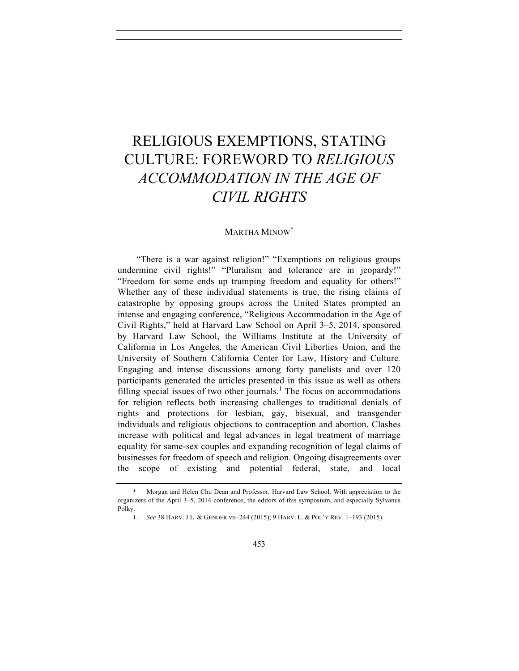# RELIGIOUS EXEMPTIONS, STATING CULTURE: FOREWORD TO *RELIGIOUS ACCOMMODATION IN THE AGE OF CIVIL RIGHTS*

### MARTHA MINOW\*

"There is a war against religion!" "Exemptions on religious groups undermine civil rights!" "Pluralism and tolerance are in jeopardy!" "Freedom for some ends up trumping freedom and equality for others!" Whether any of these individual statements is true, the rising claims of catastrophe by opposing groups across the United States prompted an intense and engaging conference, "Religious Accommodation in the Age of Civil Rights," held at Harvard Law School on April 3–5, 2014, sponsored by Harvard Law School, the Williams Institute at the University of California in Los Angeles, the American Civil Liberties Union, and the University of Southern California Center for Law, History and Culture*.* Engaging and intense discussions among forty panelists and over 120 participants generated the articles presented in this issue as well as others filling special issues of two other journals.<sup>1</sup> The focus on accommodations for religion reflects both increasing challenges to traditional denials of rights and protections for lesbian, gay, bisexual, and transgender individuals and religious objections to contraception and abortion. Clashes increase with political and legal advances in legal treatment of marriage equality for same-sex couples and expanding recognition of legal claims of businesses for freedom of speech and religion. Ongoing disagreements over the scope of existing and potential federal, state, and local

<sup>\*.</sup> Morgan and Helen Chu Dean and Professor, Harvard Law School. With appreciation to the organizers of the April 3–5, 2014 conference, the editors of this symposium, and especially Sylvanus Polky.

<sup>1.</sup> *See* 38 HARV. J.L. & GENDER vii–244 (2015); 9 HARV. L. & POL'Y REV. 1–193 (2015).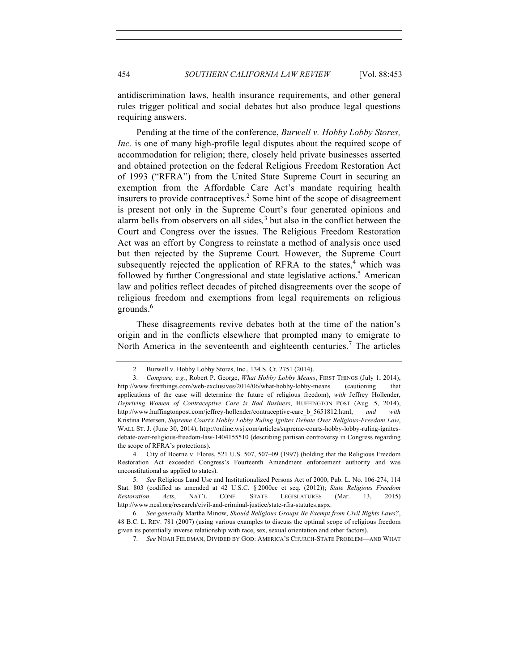antidiscrimination laws, health insurance requirements, and other general rules trigger political and social debates but also produce legal questions requiring answers.

Pending at the time of the conference, *Burwell v. Hobby Lobby Stores, Inc.* is one of many high-profile legal disputes about the required scope of accommodation for religion; there, closely held private businesses asserted and obtained protection on the federal Religious Freedom Restoration Act of 1993 ("RFRA") from the United State Supreme Court in securing an exemption from the Affordable Care Act's mandate requiring health insurers to provide contraceptives.<sup>2</sup> Some hint of the scope of disagreement is present not only in the Supreme Court's four generated opinions and alarm bells from observers on all sides*,* <sup>3</sup> but also in the conflict between the Court and Congress over the issues. The Religious Freedom Restoration Act was an effort by Congress to reinstate a method of analysis once used but then rejected by the Supreme Court. However, the Supreme Court subsequently rejected the application of RFRA to the states, $4$  which was followed by further Congressional and state legislative actions. <sup>5</sup> American law and politics reflect decades of pitched disagreements over the scope of religious freedom and exemptions from legal requirements on religious grounds.<sup>6</sup>

These disagreements revive debates both at the time of the nation's origin and in the conflicts elsewhere that prompted many to emigrate to North America in the seventeenth and eighteenth centuries.<sup>7</sup> The articles

<sup>2.</sup> Burwell v. Hobby Lobby Stores, Inc., 134 S. Ct. 2751 (2014).

<sup>3.</sup> *Compare, e.g.*, Robert P. George, *What Hobby Lobby Means*, FIRST THINGS (July 1, 2014), http://www.firstthings.com/web-exclusives/2014/06/what-hobby-lobby-means (cautioning that applications of the case will determine the future of religious freedom), *with* Jeffrey Hollender, *Depriving Women of Contraceptive Care is Bad Business*, HUFFINGTON POST (Aug. 5, 2014), http://www.huffingtonpost.com/jeffrey-hollender/contraceptive-care\_b\_5651812.html, *and with* Kristina Petersen, *Supreme Court's Hobby Lobby Ruling Ignites Debate Over Religious-Freedom Law*, WALL ST. J. (June 30, 2014), http://online.wsj.com/articles/supreme-courts-hobby-lobby-ruling-ignitesdebate-over-religious-freedom-law-1404155510 (describing partisan controversy in Congress regarding the scope of RFRA's protections).

<sup>4.</sup> City of Boerne v. Flores, 521 U.S. 507, 507–09 (1997) (holding that the Religious Freedom Restoration Act exceeded Congress's Fourteenth Amendment enforcement authority and was unconstitutional as applied to states).

<sup>5.</sup> *See* Religious Land Use and Institutionalized Persons Act of 2000, Pub. L. No. 106-274, 114 Stat. 803 (codified as amended at 42 U.S.C. § 2000cc et seq. (2012)); *State Religious Freedom Restoration Acts*, NAT'L CONF. STATE LEGISLATURES (Mar. 13, 2015) http://www.ncsl.org/research/civil-and-criminal-justice/state-rfra-statutes.aspx.

<sup>6.</sup> *See generally* Martha Minow, *Should Religious Groups Be Exempt from Civil Rights Laws?*, 48 B.C. L. REV. 781 (2007) (using various examples to discuss the optimal scope of religious freedom given its potentially inverse relationship with race, sex, sexual orientation and other factors).

<sup>7.</sup> *See* NOAH FELDMAN, DIVIDED BY GOD: AMERICA'S CHURCH-STATE PROBLEM—AND WHAT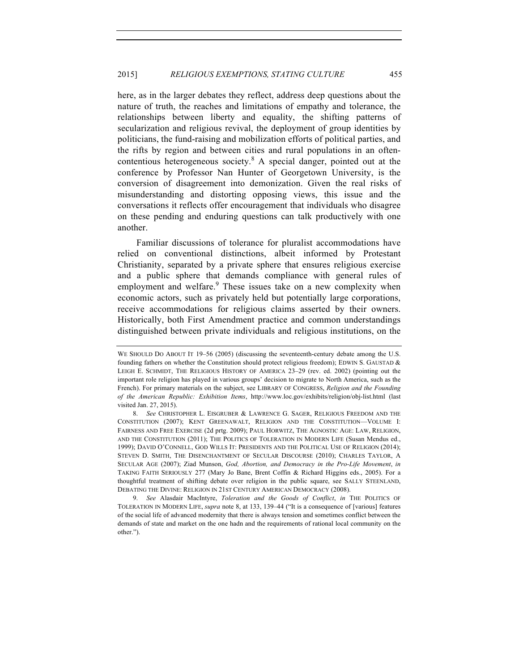here, as in the larger debates they reflect, address deep questions about the nature of truth, the reaches and limitations of empathy and tolerance, the relationships between liberty and equality, the shifting patterns of secularization and religious revival, the deployment of group identities by politicians, the fund-raising and mobilization efforts of political parties, and the rifts by region and between cities and rural populations in an oftencontentious heterogeneous society.<sup>8</sup> A special danger, pointed out at the conference by Professor Nan Hunter of Georgetown University, is the conversion of disagreement into demonization. Given the real risks of misunderstanding and distorting opposing views, this issue and the conversations it reflects offer encouragement that individuals who disagree on these pending and enduring questions can talk productively with one another.

Familiar discussions of tolerance for pluralist accommodations have relied on conventional distinctions, albeit informed by Protestant Christianity, separated by a private sphere that ensures religious exercise and a public sphere that demands compliance with general rules of employment and welfare.<sup>9</sup> These issues take on a new complexity when economic actors, such as privately held but potentially large corporations, receive accommodations for religious claims asserted by their owners. Historically, both First Amendment practice and common understandings distinguished between private individuals and religious institutions, on the

WE SHOULD DO ABOUT IT 19-56 (2005) (discussing the seventeenth-century debate among the U.S. founding fathers on whether the Constitution should protect religious freedom); EDWIN S. GAUSTAD  $\&$ LEIGH E. SCHMIDT, THE RELIGIOUS HISTORY OF AMERICA 23–29 (rev. ed. 2002) (pointing out the important role religion has played in various groups' decision to migrate to North America, such as the French). For primary materials on the subject, see LIBRARY OF CONGRESS, *Religion and the Founding of the American Republic: Exhibition Items*, http://www.loc.gov/exhibits/religion/obj-list.html (last visited Jan. 27, 2015).

<sup>8.</sup> *See* CHRISTOPHER L. EISGRUBER & LAWRENCE G. SAGER, RELIGIOUS FREEDOM AND THE CONSTITUTION (2007); KENT GREENAWALT, RELIGION AND THE CONSTITUTION—VOLUME I: FAIRNESS AND FREE EXERCISE (2d prtg. 2009); PAUL HORWITZ, THE AGNOSTIC AGE: LAW, RELIGION, AND THE CONSTITUTION (2011); THE POLITICS OF TOLERATION IN MODERN LIFE (Susan Mendus ed., 1999); DAVID O'CONNELL, GOD WILLS IT: PRESIDENTS AND THE POLITICAL USE OF RELIGION (2014); STEVEN D. SMITH, THE DISENCHANTMENT OF SECULAR DISCOURSE (2010); CHARLES TAYLOR, A SECULAR AGE (2007); Ziad Munson, *God, Abortion, and Democracy in the Pro-Life Movement*, *in* TAKING FAITH SERIOUSLY 277 (Mary Jo Bane, Brent Coffin & Richard Higgins eds., 2005). For a thoughtful treatment of shifting debate over religion in the public square, see SALLY STEENLAND, DEBATING THE DIVINE: RELIGION IN 21ST CENTURY AMERICAN DEMOCRACY (2008).

<sup>9.</sup> *See* Alasdair MacIntyre, *Toleration and the Goods of Conflict*, *in* THE POLITICS OF TOLERATION IN MODERN LIFE, *supra* note 8, at 133, 139–44 ("It is a consequence of [various] features of the social life of advanced modernity that there is always tension and sometimes conflict between the demands of state and market on the one hadn and the requirements of rational local community on the other.").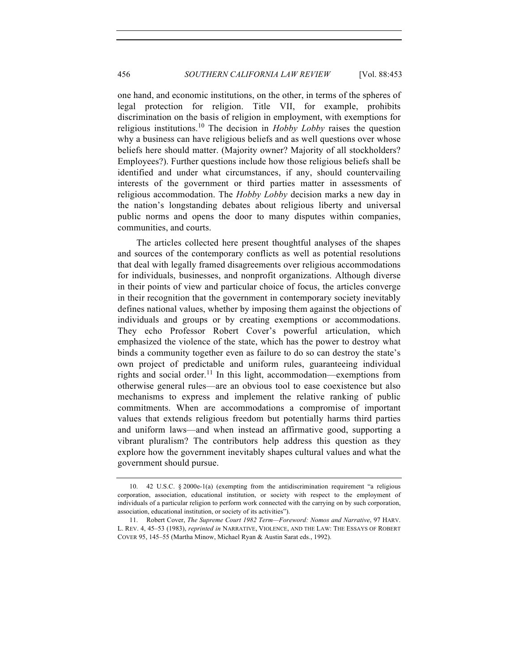one hand, and economic institutions, on the other, in terms of the spheres of legal protection for religion. Title VII, for example, prohibits discrimination on the basis of religion in employment, with exemptions for religious institutions.<sup>10</sup> The decision in *Hobby Lobby* raises the question why a business can have religious beliefs and as well questions over whose beliefs here should matter. (Majority owner? Majority of all stockholders? Employees?). Further questions include how those religious beliefs shall be identified and under what circumstances, if any, should countervailing interests of the government or third parties matter in assessments of religious accommodation. The *Hobby Lobby* decision marks a new day in the nation's longstanding debates about religious liberty and universal public norms and opens the door to many disputes within companies, communities, and courts.

The articles collected here present thoughtful analyses of the shapes and sources of the contemporary conflicts as well as potential resolutions that deal with legally framed disagreements over religious accommodations for individuals, businesses, and nonprofit organizations. Although diverse in their points of view and particular choice of focus, the articles converge in their recognition that the government in contemporary society inevitably defines national values, whether by imposing them against the objections of individuals and groups or by creating exemptions or accommodations. They echo Professor Robert Cover's powerful articulation, which emphasized the violence of the state, which has the power to destroy what binds a community together even as failure to do so can destroy the state's own project of predictable and uniform rules, guaranteeing individual rights and social order.<sup>11</sup> In this light, accommodation—exemptions from otherwise general rules—are an obvious tool to ease coexistence but also mechanisms to express and implement the relative ranking of public commitments. When are accommodations a compromise of important values that extends religious freedom but potentially harms third parties and uniform laws—and when instead an affirmative good, supporting a vibrant pluralism? The contributors help address this question as they explore how the government inevitably shapes cultural values and what the government should pursue.

<sup>10.</sup> 42 U.S.C. § 2000e-1(a) (exempting from the antidiscrimination requirement "a religious corporation, association, educational institution, or society with respect to the employment of individuals of a particular religion to perform work connected with the carrying on by such corporation, association, educational institution, or society of its activities").

<sup>11.</sup> Robert Cover, *The Supreme Court 1982 Term—Foreword: Nomos and Narrative*, 97 HARV. L. REV. 4, 45–53 (1983), *reprinted in* NARRATIVE, VIOLENCE, AND THE LAW: THE ESSAYS OF ROBERT COVER 95, 145–55 (Martha Minow, Michael Ryan & Austin Sarat eds., 1992).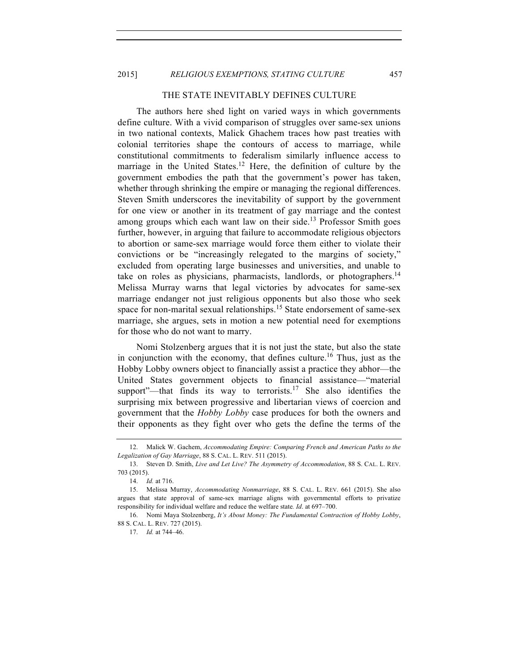### 2015] *RELIGIOUS EXEMPTIONS, STATING CULTURE* 457

## THE STATE INEVITABLY DEFINES CULTURE

The authors here shed light on varied ways in which governments define culture. With a vivid comparison of struggles over same-sex unions in two national contexts, Malick Ghachem traces how past treaties with colonial territories shape the contours of access to marriage, while constitutional commitments to federalism similarly influence access to marriage in the United States.<sup>12</sup> Here, the definition of culture by the government embodies the path that the government's power has taken, whether through shrinking the empire or managing the regional differences. Steven Smith underscores the inevitability of support by the government for one view or another in its treatment of gay marriage and the contest among groups which each want law on their side.<sup>13</sup> Professor Smith goes further, however, in arguing that failure to accommodate religious objectors to abortion or same-sex marriage would force them either to violate their convictions or be "increasingly relegated to the margins of society," excluded from operating large businesses and universities, and unable to take on roles as physicians, pharmacists, landlords, or photographers.<sup>14</sup> Melissa Murray warns that legal victories by advocates for same-sex marriage endanger not just religious opponents but also those who seek space for non-marital sexual relationships.<sup>15</sup> State endorsement of same-sex marriage, she argues, sets in motion a new potential need for exemptions for those who do not want to marry.

Nomi Stolzenberg argues that it is not just the state, but also the state in conjunction with the economy, that defines culture.<sup>16</sup> Thus, just as the Hobby Lobby owners object to financially assist a practice they abhor—the United States government objects to financial assistance—"material support"—that finds its way to terrorists.<sup>17</sup> She also identifies the surprising mix between progressive and libertarian views of coercion and government that the *Hobby Lobby* case produces for both the owners and their opponents as they fight over who gets the define the terms of the

<sup>12.</sup> Malick W. Gachem, *Accommodating Empire: Comparing French and American Paths to the Legalization of Gay Marriage*, 88 S. CAL. L. REV. 511 (2015).

<sup>13.</sup> Steven D. Smith, *Live and Let Live? The Asymmetry of Accommodation*, 88 S. CAL. L. REV. 703 (2015).

<sup>14.</sup> *Id.* at 716.

<sup>15.</sup> Melissa Murray, *Accommodating Nonmarriage*, 88 S. CAL. L. REV. 661 (2015). She also argues that state approval of same-sex marriage aligns with governmental efforts to privatize responsibility for individual welfare and reduce the welfare state*. Id*. at 697–700.

<sup>16.</sup> Nomi Maya Stolzenberg, *It's About Money: The Fundamental Contraction of Hobby Lobby*, 88 S. CAL. L. REV. 727 (2015).

<sup>17.</sup> *Id.* at 744–46.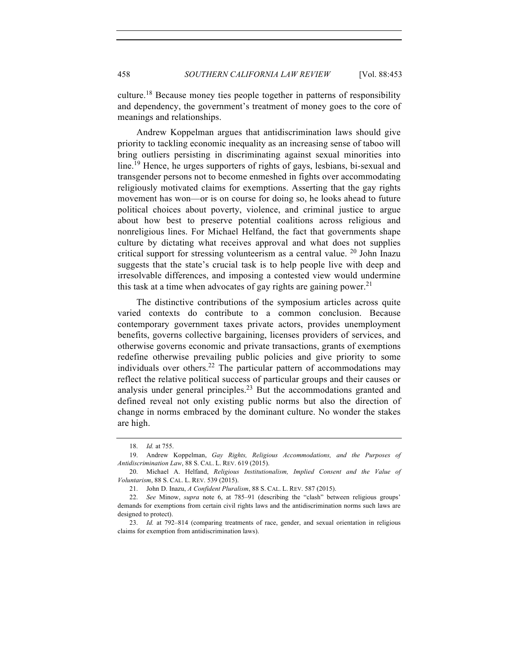culture.<sup>18</sup> Because money ties people together in patterns of responsibility and dependency, the government's treatment of money goes to the core of meanings and relationships.

Andrew Koppelman argues that antidiscrimination laws should give priority to tackling economic inequality as an increasing sense of taboo will bring outliers persisting in discriminating against sexual minorities into line.<sup>19</sup> Hence, he urges supporters of rights of gays, lesbians, bi-sexual and transgender persons not to become enmeshed in fights over accommodating religiously motivated claims for exemptions. Asserting that the gay rights movement has won—or is on course for doing so, he looks ahead to future political choices about poverty, violence, and criminal justice to argue about how best to preserve potential coalitions across religious and nonreligious lines. For Michael Helfand, the fact that governments shape culture by dictating what receives approval and what does not supplies critical support for stressing volunteerism as a central value.  $20$  John Inazu suggests that the state's crucial task is to help people live with deep and irresolvable differences, and imposing a contested view would undermine this task at a time when advocates of gay rights are gaining power.<sup>21</sup>

The distinctive contributions of the symposium articles across quite varied contexts do contribute to a common conclusion. Because contemporary government taxes private actors, provides unemployment benefits, governs collective bargaining, licenses providers of services, and otherwise governs economic and private transactions, grants of exemptions redefine otherwise prevailing public policies and give priority to some individuals over others.<sup>22</sup> The particular pattern of accommodations may reflect the relative political success of particular groups and their causes or analysis under general principles.<sup>23</sup> But the accommodations granted and defined reveal not only existing public norms but also the direction of change in norms embraced by the dominant culture. No wonder the stakes are high.

<sup>18.</sup> *Id.* at 755.

<sup>19.</sup> Andrew Koppelman, *Gay Rights, Religious Accommodations, and the Purposes of Antidiscrimination Law*, 88 S. CAL. L. REV. 619 (2015).

<sup>20.</sup> Michael A. Helfand, *Religious Institutionalism, Implied Consent and the Value of Voluntarism*, 88 S. CAL. L. REV. 539 (2015).

<sup>21.</sup> John D. Inazu, *A Confident Pluralism*, 88 S. CAL. L. REV. 587 (2015).

<sup>22.</sup> *See* Minow, *supra* note 6, at 785–91 (describing the "clash" between religious groups' demands for exemptions from certain civil rights laws and the antidiscrimination norms such laws are designed to protect).

<sup>23.</sup> *Id.* at 792–814 (comparing treatments of race, gender, and sexual orientation in religious claims for exemption from antidiscrimination laws).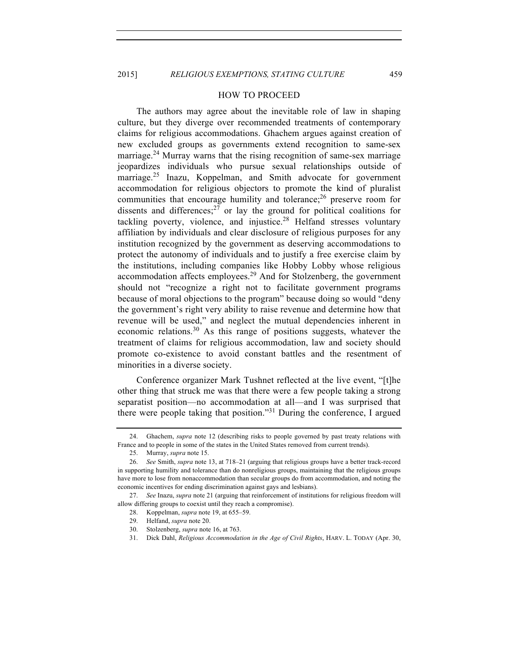#### HOW TO PROCEED

The authors may agree about the inevitable role of law in shaping culture, but they diverge over recommended treatments of contemporary claims for religious accommodations. Ghachem argues against creation of new excluded groups as governments extend recognition to same-sex marriage.<sup>24</sup> Murray warns that the rising recognition of same-sex marriage jeopardizes individuals who pursue sexual relationships outside of marriage.<sup>25</sup> Inazu, Koppelman, and Smith advocate for government accommodation for religious objectors to promote the kind of pluralist communities that encourage humility and tolerance;<sup>26</sup> preserve room for dissents and differences; $27$  or lay the ground for political coalitions for tackling poverty, violence, and injustice.<sup>28</sup> Helfand stresses voluntary affiliation by individuals and clear disclosure of religious purposes for any institution recognized by the government as deserving accommodations to protect the autonomy of individuals and to justify a free exercise claim by the institutions, including companies like Hobby Lobby whose religious accommodation affects employees.<sup>29</sup> And for Stolzenberg, the government should not "recognize a right not to facilitate government programs because of moral objections to the program" because doing so would "deny the government's right very ability to raise revenue and determine how that revenue will be used," and neglect the mutual dependencies inherent in economic relations. $30$  As this range of positions suggests, whatever the treatment of claims for religious accommodation, law and society should promote co-existence to avoid constant battles and the resentment of minorities in a diverse society.

Conference organizer Mark Tushnet reflected at the live event, "[t]he other thing that struck me was that there were a few people taking a strong separatist position—no accommodation at all—and I was surprised that there were people taking that position."<sup>31</sup> During the conference, I argued

<sup>24.</sup> Ghachem, *supra* note 12 (describing risks to people governed by past treaty relations with France and to people in some of the states in the United States removed from current trends).

<sup>25.</sup> Murray, *supra* note 15.

<sup>26.</sup> *See* Smith, *supra* note 13, at 718–21 (arguing that religious groups have a better track-record in supporting humility and tolerance than do nonreligious groups, maintaining that the religious groups have more to lose from nonaccommodation than secular groups do from accommodation, and noting the economic incentives for ending discrimination against gays and lesbians).

<sup>27.</sup> *See* Inazu, *supra* note 21 (arguing that reinforcement of institutions for religious freedom will allow differing groups to coexist until they reach a compromise).

<sup>28.</sup> Koppelman, *supra* note 19, at 655–59.

<sup>29.</sup> Helfand, *supra* note 20.

<sup>30.</sup> Stolzenberg, *supra* note 16, at 763.

<sup>31.</sup> Dick Dahl, *Religious Accommodation in the Age of Civil Rights*, HARV. L. TODAY (Apr. 30,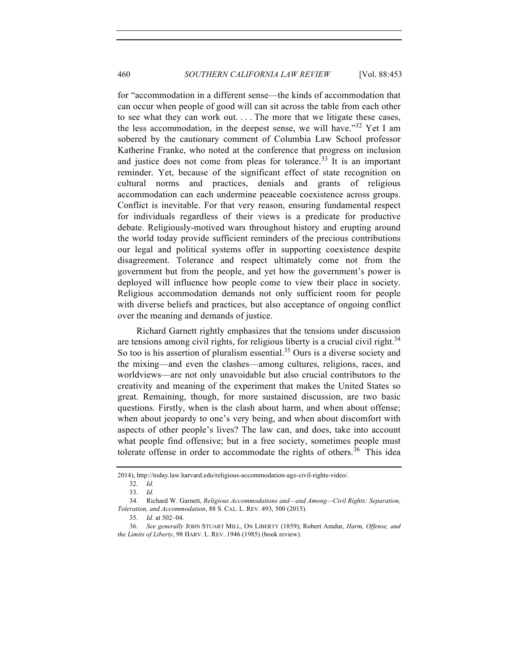for "accommodation in a different sense—the kinds of accommodation that can occur when people of good will can sit across the table from each other to see what they can work out. . . . The more that we litigate these cases, the less accommodation, in the deepest sense, we will have.<sup> $32$ </sup> Yet I am sobered by the cautionary comment of Columbia Law School professor Katherine Franke, who noted at the conference that progress on inclusion and justice does not come from pleas for tolerance.<sup>33</sup> It is an important reminder. Yet, because of the significant effect of state recognition on cultural norms and practices, denials and grants of religious accommodation can each undermine peaceable coexistence across groups. Conflict is inevitable. For that very reason, ensuring fundamental respect for individuals regardless of their views is a predicate for productive debate. Religiously-motived wars throughout history and erupting around the world today provide sufficient reminders of the precious contributions our legal and political systems offer in supporting coexistence despite disagreement. Tolerance and respect ultimately come not from the government but from the people, and yet how the government's power is deployed will influence how people come to view their place in society. Religious accommodation demands not only sufficient room for people with diverse beliefs and practices, but also acceptance of ongoing conflict over the meaning and demands of justice.

Richard Garnett rightly emphasizes that the tensions under discussion are tensions among civil rights, for religious liberty is a crucial civil right.<sup>34</sup> So too is his assertion of pluralism essential.<sup>35</sup> Ours is a diverse society and the mixing—and even the clashes—among cultures, religions, races, and worldviews—are not only unavoidable but also crucial contributors to the creativity and meaning of the experiment that makes the United States so great. Remaining, though, for more sustained discussion, are two basic questions. Firstly, when is the clash about harm, and when about offense; when about jeopardy to one's very being, and when about discomfort with aspects of other people's lives? The law can, and does, take into account what people find offensive; but in a free society, sometimes people must tolerate offense in order to accommodate the rights of others.<sup>36</sup> This idea

<sup>2014),</sup> http://today.law.harvard.edu/religious-accommodation-age-civil-rights-video/.

<sup>32.</sup> *Id.*

<sup>33.</sup> *Id.*

<sup>34.</sup> Richard W. Garnett, *Religious Accommodations and—and Among—Civil Rights: Separation, Toleration, and Accommodation*, 88 S. CAL. L. REV. 493, 500 (2015).

<sup>35.</sup> *Id.* at 502–04.

<sup>36.</sup> *See generally* JOHN STUART MILL, ON LIBERTY (1859); Robert Amdur, *Harm, Offense, and the Limits of Liberty*, 98 HARV. L. REV. 1946 (1985) (book review).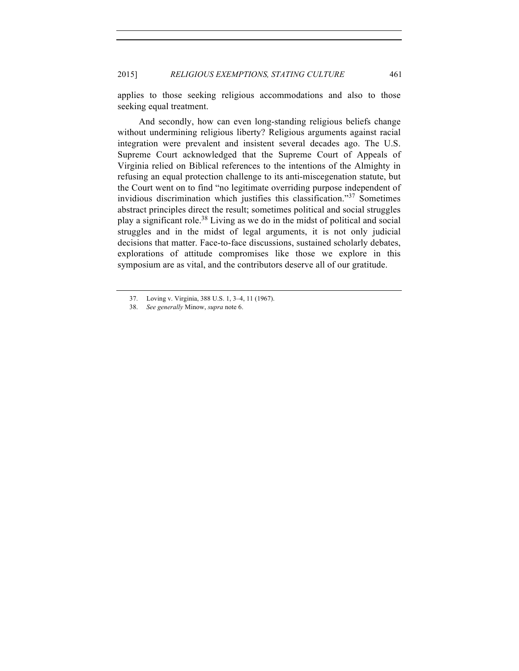applies to those seeking religious accommodations and also to those seeking equal treatment.

And secondly, how can even long-standing religious beliefs change without undermining religious liberty? Religious arguments against racial integration were prevalent and insistent several decades ago. The U.S. Supreme Court acknowledged that the Supreme Court of Appeals of Virginia relied on Biblical references to the intentions of the Almighty in refusing an equal protection challenge to its anti-miscegenation statute, but the Court went on to find "no legitimate overriding purpose independent of invidious discrimination which justifies this classification."<sup>37</sup> Sometimes abstract principles direct the result; sometimes political and social struggles play a significant role.<sup>38</sup> Living as we do in the midst of political and social struggles and in the midst of legal arguments, it is not only judicial decisions that matter. Face-to-face discussions, sustained scholarly debates, explorations of attitude compromises like those we explore in this symposium are as vital, and the contributors deserve all of our gratitude.

<sup>37.</sup> Loving v. Virginia, 388 U.S. 1, 3–4, 11 (1967).

<sup>38.</sup> *See generally* Minow, *supra* note 6.